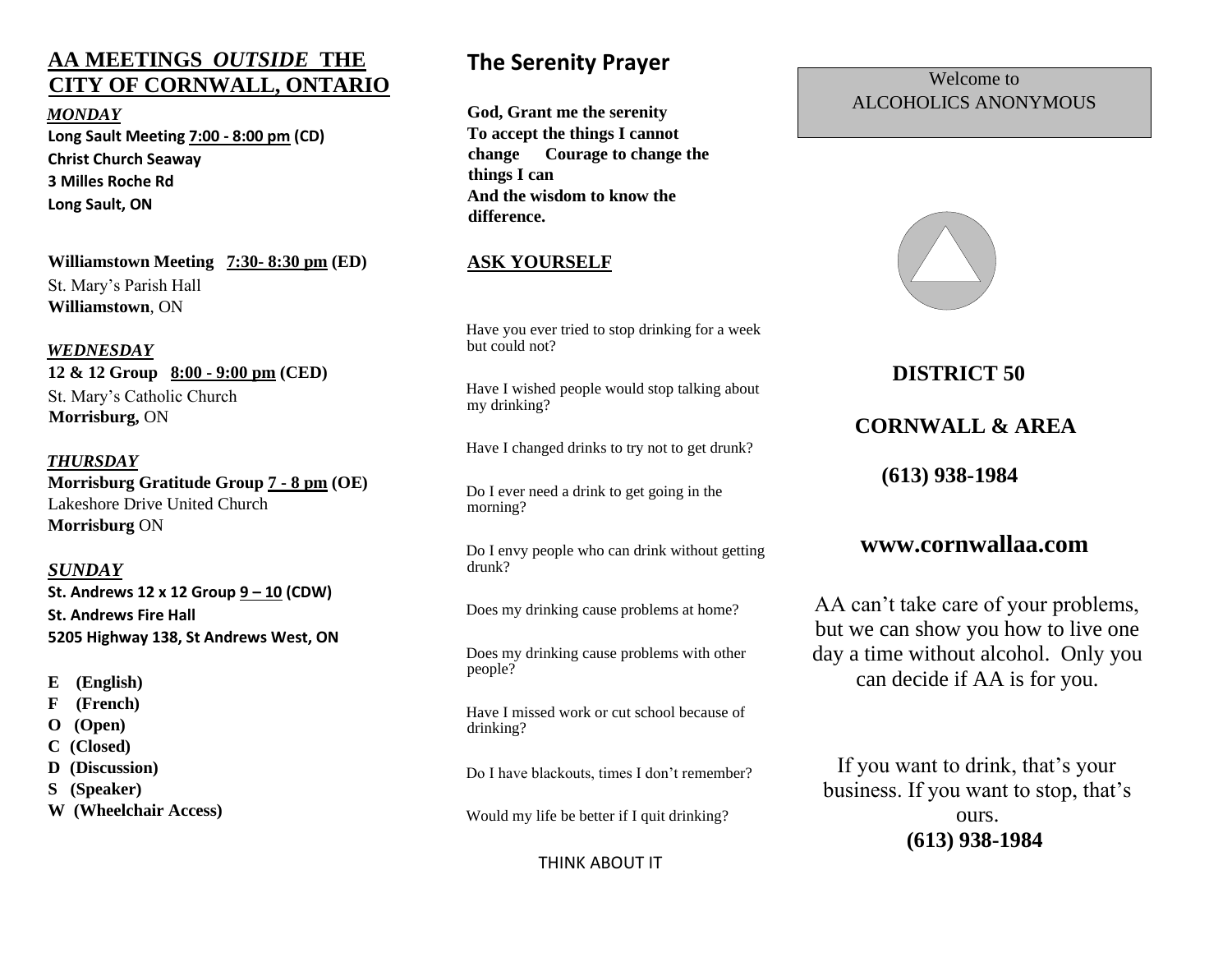## **AA MEETINGS** *OUTSIDE* **THE CITY OF CORNWALL, ONTARIO**

*MONDAY* **Long Sault Meeting 7:00 - 8:00 pm (CD) Christ Church Seaway 3 Milles Roche Rd Long Sault, ON**

**Williamstown Meeting 7:30- 8:30 pm (ED)**  St. Mary's Parish Hall **Williamstown**, ON

#### *WEDNESDAY*

**12 & 12 Group 8:00 - 9:00 pm (CED)**  St. Mary's Catholic Church **Morrisburg,** ON

#### *THURSDAY*

**Morrisburg Gratitude Group 7 - 8 pm (OE)**  Lakeshore Drive United Church **Morrisburg** ON

#### *SUNDAY*

**St. Andrews 12 x 12 Group 9 – 10 (CDW) St. Andrews Fire Hall 5205 Highway 138, St Andrews West, ON**

- **E (English)**
- **F (French)**
- **O (Open)**
- **C (Closed)**
- **D (Discussion)**
- **S (Speaker)**
- **W (Wheelchair Access)**

## **The Serenity Prayer**

**God, Grant me the serenity To accept the things I cannot change Courage to change the things I can And the wisdom to know the difference.**

#### **ASK YOURSELF**

Have you ever tried to stop drinking for a week but could not?

Have I wished people would stop talking about my drinking?

Have I changed drinks to try not to get drunk?

Do I ever need a drink to get going in the morning?

Do I envy people who can drink without getting drunk?

Does my drinking cause problems at home?

Does my drinking cause problems with other people?

Have I missed work or cut school because of drinking?

Do I have blackouts, times I don't remember?

Would my life be better if I quit drinking?

#### THINK ABOUT IT

#### Welcome to ALCOHOLICS ANONYMOUS



 **DISTRICT 50**

## **CORNWALL & AREA**

 **(613) 938-1984**

#### **www.cornwallaa.com**

AA can't take care of your problems, but we can show you how to live one day a time without alcohol. Only you can decide if AA is for you.

If you want to drink, that's your business. If you want to stop, that's ours. **(613) 938-1984**